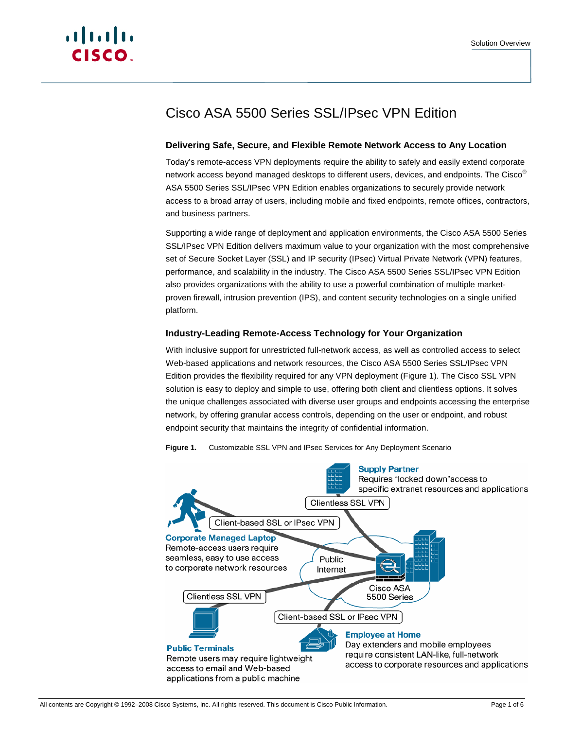# Cisco ASA 5500 Series SSL/IPsec VPN Edition

# **Delivering Safe, Secure, and Flexible Remote Network Access to Any Location**

Today's remote-access VPN deployments require the ability to safely and easily extend corporate network access beyond managed desktops to different users, devices, and endpoints. The Cisco<sup>®</sup> ASA 5500 Series SSL/IPsec VPN Edition enables organizations to securely provide network access to a broad array of users, including mobile and fixed endpoints, remote offices, contractors, and business partners.

Supporting a wide range of deployment and application environments, the Cisco ASA 5500 Series SSL/IPsec VPN Edition delivers maximum value to your organization with the most comprehensive set of Secure Socket Layer (SSL) and IP security (IPsec) Virtual Private Network (VPN) features, performance, and scalability in the industry. The Cisco ASA 5500 Series SSL/IPsec VPN Edition also provides organizations with the ability to use a powerful combination of multiple marketproven firewall, intrusion prevention (IPS), and content security technologies on a single unified platform.

## **Industry-Leading Remote-Access Technology for Your Organization**

With inclusive support for unrestricted full-network access, as well as controlled access to select Web-based applications and network resources, the Cisco ASA 5500 Series SSL/IPsec VPN Edition provides the flexibility required for any VPN deployment (Figure 1). The Cisco SSL VPN solution is easy to deploy and simple to use, offering both client and clientless options. It solves the unique challenges associated with diverse user groups and endpoints accessing the enterprise network, by offering granular access controls, depending on the user or endpoint, and robust endpoint security that maintains the integrity of confidential information.



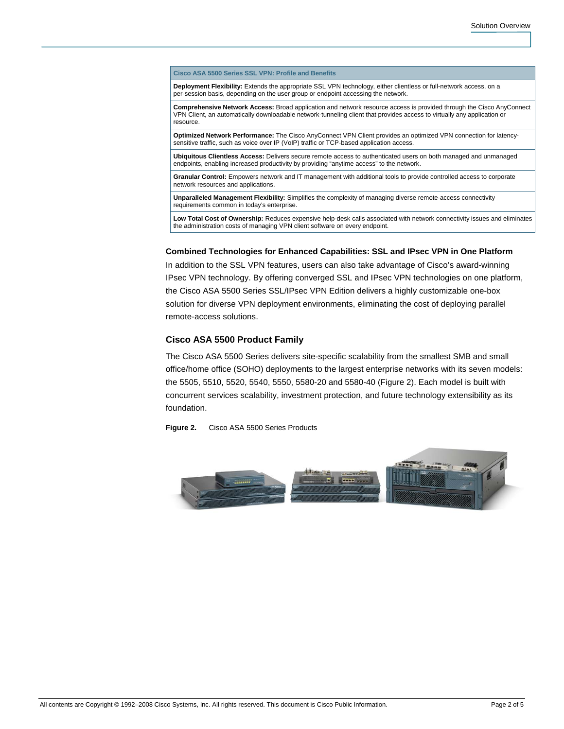**Cisco ASA 5500 Series SSL VPN: Profile and Benefits** 

**Deployment Flexibility:** Extends the appropriate SSL VPN technology, either clientless or full-network access, on a per-session basis, depending on the user group or endpoint accessing the network.

**Comprehensive Network Access:** Broad application and network resource access is provided through the Cisco AnyConnect VPN Client, an automatically downloadable network-tunneling client that provides access to virtually any application or resource.

**Optimized Network Performance:** The Cisco AnyConnect VPN Client provides an optimized VPN connection for latencysensitive traffic, such as voice over IP (VoIP) traffic or TCP-based application access.

**Ubiquitous Clientless Access:** Delivers secure remote access to authenticated users on both managed and unmanaged endpoints, enabling increased productivity by providing "anytime access" to the network.

**Granular Control:** Empowers network and IT management with additional tools to provide controlled access to corporate network resources and applications.

**Unparalleled Management Flexibility:** Simplifies the complexity of managing diverse remote-access connectivity requirements common in today's enterprise.

**Low Total Cost of Ownership:** Reduces expensive help-desk calls associated with network connectivity issues and eliminates the administration costs of managing VPN client software on every endpoint.

#### **Combined Technologies for Enhanced Capabilities: SSL and IPsec VPN in One Platform**

In addition to the SSL VPN features, users can also take advantage of Cisco's award-winning IPsec VPN technology. By offering converged SSL and IPsec VPN technologies on one platform, the Cisco ASA 5500 Series SSL/IPsec VPN Edition delivers a highly customizable one-box solution for diverse VPN deployment environments, eliminating the cost of deploying parallel remote-access solutions.

### **Cisco ASA 5500 Product Family**

The Cisco ASA 5500 Series delivers site-specific scalability from the smallest SMB and small office/home office (SOHO) deployments to the largest enterprise networks with its seven models: the 5505, 5510, 5520, 5540, 5550, 5580-20 and 5580-40 (Figure 2). Each model is built with concurrent services scalability, investment protection, and future technology extensibility as its foundation.

**Figure 2.** Cisco ASA 5500 Series Products

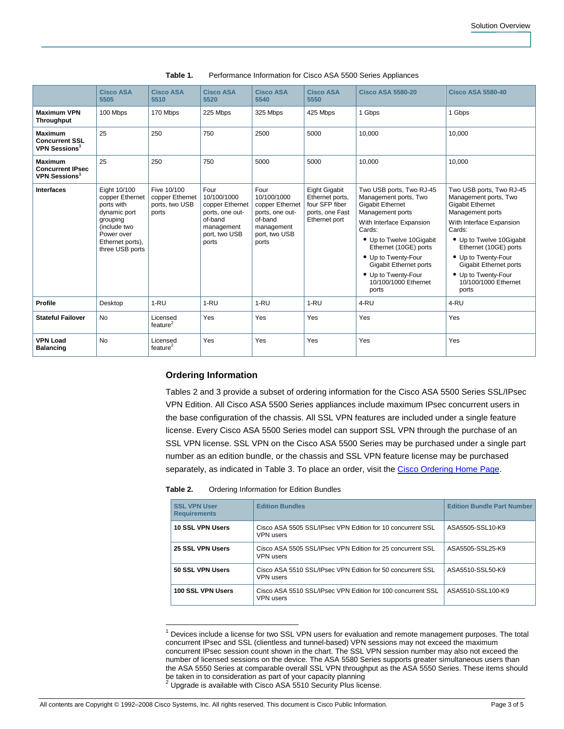|                                                                              | <b>Cisco ASA</b><br>5505                                                                                                                       | <b>Cisco ASA</b><br>5510                                  | <b>Cisco ASA</b><br>5520                                                                                     | <b>Cisco ASA</b><br>5540                                                                                     | <b>Cisco ASA</b><br>5550                                                                      | <b>Cisco ASA 5580-20</b>                                                                                                                                                                                                                                                                             | <b>Cisco ASA 5580-40</b>                                                                                                                                                                                                                                                                             |
|------------------------------------------------------------------------------|------------------------------------------------------------------------------------------------------------------------------------------------|-----------------------------------------------------------|--------------------------------------------------------------------------------------------------------------|--------------------------------------------------------------------------------------------------------------|-----------------------------------------------------------------------------------------------|------------------------------------------------------------------------------------------------------------------------------------------------------------------------------------------------------------------------------------------------------------------------------------------------------|------------------------------------------------------------------------------------------------------------------------------------------------------------------------------------------------------------------------------------------------------------------------------------------------------|
| <b>Maximum VPN</b><br><b>Throughput</b>                                      | 100 Mbps                                                                                                                                       | 170 Mbps                                                  | 225 Mbps                                                                                                     | 325 Mbps                                                                                                     | 425 Mbps                                                                                      | 1 Gbps                                                                                                                                                                                                                                                                                               | 1 Gbps                                                                                                                                                                                                                                                                                               |
| <b>Maximum</b><br><b>Concurrent SSL</b><br>VPN Sessions <sup>1</sup>         | 25                                                                                                                                             | 250                                                       | 750                                                                                                          | 2500                                                                                                         | 5000                                                                                          | 10,000                                                                                                                                                                                                                                                                                               | 10.000                                                                                                                                                                                                                                                                                               |
| <b>Maximum</b><br><b>Concurrent IPsec</b><br><b>VPN Sessions<sup>1</sup></b> | 25                                                                                                                                             | 250                                                       | 750                                                                                                          | 5000                                                                                                         | 5000                                                                                          | 10.000                                                                                                                                                                                                                                                                                               | 10.000                                                                                                                                                                                                                                                                                               |
| <b>Interfaces</b>                                                            | Eight 10/100<br>copper Ethernet<br>ports with<br>dynamic port<br>grouping<br>(include two<br>Power over<br>Ethernet ports),<br>three USB ports | Five 10/100<br>copper Ethernet<br>ports, two USB<br>ports | Four<br>10/100/1000<br>copper Ethernet<br>ports, one out-<br>of-band<br>management<br>port, two USB<br>ports | Four<br>10/100/1000<br>copper Ethernet<br>ports, one out-<br>of-band<br>management<br>port, two USB<br>ports | <b>Eight Gigabit</b><br>Ethernet ports,<br>four SFP fiber<br>ports, one Fast<br>Ethernet port | Two USB ports, Two RJ-45<br>Management ports, Two<br><b>Gigabit Ethernet</b><br>Management ports<br>With Interface Expansion<br>Cards:<br>• Up to Twelve 10Gigabit<br>Ethernet (10GE) ports<br>• Up to Twenty-Four<br>Gigabit Ethernet ports<br>• Up to Twenty-Four<br>10/100/1000 Ethernet<br>ports | Two USB ports, Two RJ-45<br>Management ports, Two<br><b>Gigabit Ethernet</b><br>Management ports<br>With Interface Expansion<br>Cards:<br>• Up to Twelve 10Gigabit<br>Ethernet (10GE) ports<br>• Up to Twenty-Four<br>Gigabit Ethernet ports<br>• Up to Twenty-Four<br>10/100/1000 Ethernet<br>ports |
| <b>Profile</b>                                                               | Desktop                                                                                                                                        | $1 - RU$                                                  | $1 - RU$                                                                                                     | $1 - RU$                                                                                                     | $1-RU$                                                                                        | 4-RU                                                                                                                                                                                                                                                                                                 | 4-RU                                                                                                                                                                                                                                                                                                 |
| <b>Stateful Failover</b>                                                     | <b>No</b>                                                                                                                                      | Licensed<br>feature $2$                                   | Yes                                                                                                          | Yes                                                                                                          | Yes                                                                                           | Yes                                                                                                                                                                                                                                                                                                  | Yes                                                                                                                                                                                                                                                                                                  |
| <b>VPN Load</b><br><b>Balancing</b>                                          | No                                                                                                                                             | Licensed<br>feature $2$                                   | Yes                                                                                                          | Yes                                                                                                          | Yes                                                                                           | Yes                                                                                                                                                                                                                                                                                                  | Yes                                                                                                                                                                                                                                                                                                  |

**Table 1.** Performance Information for Cisco ASA 5500 Series Appliances

#### **Ordering Information**

Tables 2 and 3 provide a subset of ordering information for the Cisco ASA 5500 Series SSL/IPsec VPN Edition. All Cisco ASA 5500 Series appliances include maximum IPsec concurrent users in the base configuration of the chassis. All SSL VPN features are included under a single feature license. Every Cisco ASA 5500 Series model can support SSL VPN through the purchase of an SSL VPN license. SSL VPN on the Cisco ASA 5500 Series may be purchased under a single part number as an edition bundle, or the chassis and SSL VPN feature license may be purchased separately, as indicated in Table 3. To place an order, visit the [Cisco Ordering Home Page.](http://www.cisco.com/en/US/ordering/or13/or8/order_customer_help_how_to_order_listing.html)

| Table 2. | Ordering Information for Edition Bundles |  |
|----------|------------------------------------------|--|
|----------|------------------------------------------|--|

| <b>SSL VPN User</b><br><b>Requirements</b> | <b>Edition Bundles</b>                                                          | <b>Edition Bundle Part Number</b> |
|--------------------------------------------|---------------------------------------------------------------------------------|-----------------------------------|
| 10 SSL VPN Users                           | Cisco ASA 5505 SSL/IPsec VPN Edition for 10 concurrent SSL<br><b>VPN</b> users  | ASA5505-SSL10-K9                  |
| 25 SSL VPN Users                           | Cisco ASA 5505 SSL/IPsec VPN Edition for 25 concurrent SSL<br><b>VPN</b> users  | ASA5505-SSL25-K9                  |
| 50 SSL VPN Users                           | Cisco ASA 5510 SSL/IPsec VPN Edition for 50 concurrent SSL<br><b>VPN</b> users  | ASA5510-SSL50-K9                  |
| 100 SSL VPN Users                          | Cisco ASA 5510 SSL/IPsec VPN Edition for 100 concurrent SSL<br><b>VPN</b> users | ASA5510-SSL100-K9                 |

 1 Devices include a license for two SSL VPN users for evaluation and remote management purposes. The total concurrent IPsec and SSL (clientless and tunnel-based) VPN sessions may not exceed the maximum concurrent IPsec session count shown in the chart. The SSL VPN session number may also not exceed the number of licensed sessions on the device. The ASA 5580 Series supports greater simultaneous users than the ASA 5550 Series at comparable overall SSL VPN throughput as the ASA 5550 Series. These items should be taken in to consideration as part of your capacity planning<br><sup>2</sup> Upgrade is available with Cisco ASA 5510 Security Plus license.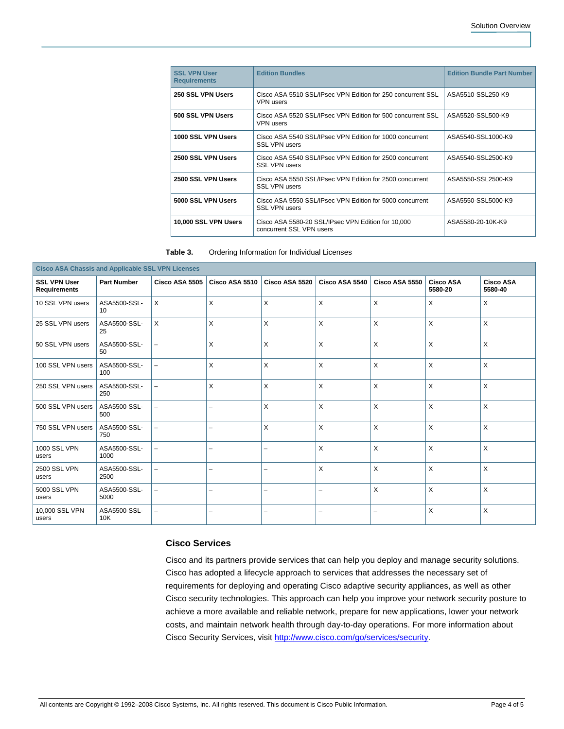| <b>SSL VPN User</b><br><b>Requirements</b> | <b>Edition Bundles</b>                                                           | <b>Edition Bundle Part Number</b> |
|--------------------------------------------|----------------------------------------------------------------------------------|-----------------------------------|
| 250 SSL VPN Users                          | Cisco ASA 5510 SSL/IPsec VPN Edition for 250 concurrent SSL<br><b>VPN</b> users  | ASA5510-SSL250-K9                 |
| 500 SSL VPN Users                          | Cisco ASA 5520 SSL/IPsec VPN Edition for 500 concurrent SSL<br><b>VPN users</b>  | ASA5520-SSL500-K9                 |
| 1000 SSL VPN Users                         | Cisco ASA 5540 SSL/IPsec VPN Edition for 1000 concurrent<br><b>SSL VPN users</b> | ASA5540-SSL1000-K9                |
| 2500 SSL VPN Users                         | Cisco ASA 5540 SSL/IPsec VPN Edition for 2500 concurrent<br><b>SSL VPN users</b> | ASA5540-SSL2500-K9                |
| 2500 SSL VPN Users                         | Cisco ASA 5550 SSL/IPsec VPN Edition for 2500 concurrent<br><b>SSL VPN users</b> | ASA5550-SSL2500-K9                |
| 5000 SSL VPN Users                         | Cisco ASA 5550 SSL/IPsec VPN Edition for 5000 concurrent<br><b>SSL VPN users</b> | ASA5550-SSL5000-K9                |
| 10,000 SSL VPN Users                       | Cisco ASA 5580-20 SSL/IPsec VPN Edition for 10,000<br>concurrent SSL VPN users   | ASA5580-20-10K-K9                 |

| Table 3.<br>Ordering Information for Individual Licenses |
|----------------------------------------------------------|
|----------------------------------------------------------|

| <b>Cisco ASA Chassis and Applicable SSL VPN Licenses</b> |                      |                          |                          |                          |                          |                |                             |                             |
|----------------------------------------------------------|----------------------|--------------------------|--------------------------|--------------------------|--------------------------|----------------|-----------------------------|-----------------------------|
| <b>SSL VPN User</b><br><b>Requirements</b>               | <b>Part Number</b>   | Cisco ASA 5505           | Cisco ASA 5510           | Cisco ASA 5520           | Cisco ASA 5540           | Cisco ASA 5550 | <b>Cisco ASA</b><br>5580-20 | <b>Cisco ASA</b><br>5580-40 |
| 10 SSL VPN users                                         | ASA5500-SSL-<br>10   | X                        | $\mathsf{X}$             | $\times$                 | $\mathsf{X}$             | X              | $\times$                    | X                           |
| 25 SSL VPN users                                         | ASA5500-SSL-<br>25   | X                        | X                        | X                        | X                        | X              | $\times$                    | X                           |
| 50 SSL VPN users                                         | ASA5500-SSL-<br>50   | $\overline{\phantom{0}}$ | X                        | $\times$                 | X                        | X              | $\times$                    | X                           |
| 100 SSL VPN users                                        | ASA5500-SSL-<br>100  |                          | $\times$                 | X                        | $\times$                 | X              | $\times$                    | X                           |
| 250 SSL VPN users                                        | ASA5500-SSL-<br>250  |                          | X                        | $\times$                 | $\times$                 | X              | $\times$                    | X                           |
| 500 SSL VPN users                                        | ASA5500-SSL-<br>500  |                          | $\overline{\phantom{0}}$ | $\times$                 | X                        | X              | $\times$                    | X                           |
| 750 SSL VPN users                                        | ASA5500-SSL-<br>750  | $\overline{\phantom{0}}$ | $\overline{\phantom{0}}$ | $\times$                 | X                        | X              | X                           | X                           |
| <b>1000 SSL VPN</b><br>users                             | ASA5500-SSL-<br>1000 |                          | $\overline{\phantom{0}}$ | $\overline{\phantom{0}}$ | X                        | $\times$       | $\boldsymbol{\mathsf{X}}$   | X                           |
| <b>2500 SSL VPN</b><br>users                             | ASA5500-SSL-<br>2500 | $\equiv$                 | $\overline{\phantom{0}}$ | $\overline{\phantom{0}}$ | $\mathsf{x}$             | X              | $\boldsymbol{\mathsf{X}}$   | $\times$                    |
| <b>5000 SSL VPN</b><br>users                             | ASA5500-SSL-<br>5000 | $\overline{\phantom{0}}$ | $\overline{\phantom{0}}$ | $\overline{\phantom{0}}$ | $\overline{\phantom{m}}$ | X              | X                           | X                           |
| 10,000 SSL VPN<br>users                                  | ASA5500-SSL-<br>10K  | -                        | $\overline{\phantom{0}}$ | $\overline{\phantom{0}}$ | $\overline{\phantom{0}}$ | -              | $\times$                    | X                           |

# **Cisco Services**

Cisco and its partners provide services that can help you deploy and manage security solutions. Cisco has adopted a lifecycle approach to services that addresses the necessary set of requirements for deploying and operating Cisco adaptive security appliances, as well as other Cisco security technologies. This approach can help you improve your network security posture to achieve a more available and reliable network, prepare for new applications, lower your network costs, and maintain network health through day-to-day operations. For more information about Cisco Security Services, visit<http://www.cisco.com/go/services/security>.